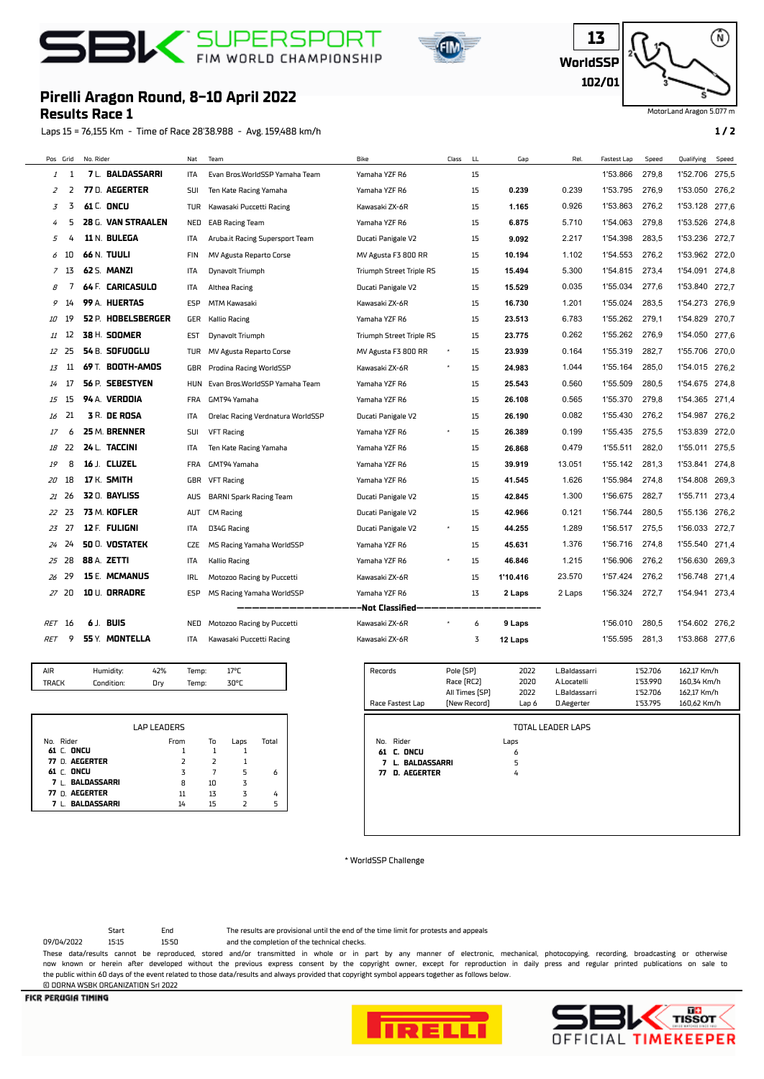## **BI** FIN WORLD CHAMPIONSHIP





MotorLand Aragon 5.077 m

## **Results Race 1 Pirelli Aragon Round, 8-10 April 2022**

Laps 15 = 76,155 Km - Time of Race 28'38.988 - Avg. 159,488 km/h **1 / 2**

| Pos Grid |       | No. Rider |                         | Nat        | Team                              | Bike                     | Class | LL. | Gap      | Rel.   | <b>Fastest Lap</b> | Speed | Qualifying     | Speed |
|----------|-------|-----------|-------------------------|------------|-----------------------------------|--------------------------|-------|-----|----------|--------|--------------------|-------|----------------|-------|
| 1        | -1    |           | <b>7 L. BALDASSARRI</b> | ITA        | Evan Bros.WorldSSP Yamaha Team    | Yamaha YZF R6            |       | 15  |          |        | 1'53.866           | 279,8 | 1'52.706       | 275,5 |
| 2        | 2     |           | 77 D. AEGERTER          | SUI        | Ten Kate Racing Yamaha            | Yamaha YZF R6            |       | 15  | 0.239    | 0.239  | 1'53.795           | 276.9 | 1'53.050       | 276,2 |
| 3        | 3     |           | 61 C. ONCU              | <b>TUR</b> | Kawasaki Puccetti Racing          | Kawasaki ZX-6R           |       | 15  | 1.165    | 0.926  | 1'53.863           | 276.2 | 1'53.128       | 277,6 |
| 4        | 5     |           | 28 G. VAN STRAALEN      | <b>NED</b> | <b>EAB Racing Team</b>            | Yamaha YZF R6            |       | 15  | 6.875    | 5.710  | 1'54.063           | 279.8 | 1'53.526       | 274.8 |
| 5        | 4     |           | 11 N. BULEGA            | <b>ITA</b> | Aruba.it Racing Supersport Team   | Ducati Panigale V2       |       | 15  | 9.092    | 2.217  | 1'54.398           | 283.5 | 1'53.236       | 272.7 |
| 6        | 10    |           | <b>66 N. TUULI</b>      | <b>FIN</b> | MV Agusta Reparto Corse           | MV Agusta F3 800 RR      |       | 15  | 10.194   | 1.102  | 1'54.553           | 276.2 | 1'53.962 272,0 |       |
|          | 7 13  |           | 62 S. MANZI             | ITA        | Dynavolt Triumph                  | Triumph Street Triple RS |       | 15  | 15.494   | 5.300  | 1'54.815           | 273.4 | 1'54.091 274.8 |       |
| 8        | 7     |           | 64 F. CARICASULO        | ITA        | Althea Racing                     | Ducati Panigale V2       |       | 15  | 15.529   | 0.035  | 1'55.034           | 277,6 | 1'53.840       | 272.7 |
| 9        | 14    |           | 99 A. HUERTAS           | <b>ESP</b> | <b>MTM Kawasaki</b>               | Kawasaki ZX-6R           |       | 15  | 16.730   | 1.201  | 1'55.024           | 283,5 | 1'54.273       | 276,9 |
| 10       | 19    |           | 52 P. HOBELSBERGER      | GER        | <b>Kallio Racing</b>              | Yamaha YZF R6            |       | 15  | 23.513   | 6.783  | 1'55.262           | 279,1 | 1'54.829       | 270,7 |
| 11       | 12    |           | 38 H. SOOMER            | <b>EST</b> | Dynavolt Triumph                  | Triumph Street Triple RS |       | 15  | 23.775   | 0.262  | 1'55.262           | 276,9 | 1'54.050       | 277,6 |
| 12       | 25    |           | 54 B. SOFUOGLU          | TUR        | MV Agusta Reparto Corse           | MV Agusta F3 800 RR      |       | 15  | 23.939   | 0.164  | 1'55.319           | 282,7 | 1'55.706       | 270,0 |
| 13       | 11    |           | 69 T. BOOTH-AMOS        | GBR        | Prodina Racing WorldSSP           | Kawasaki ZX-6R           |       | 15  | 24.983   | 1.044  | 1'55.164           | 285,0 | 1'54.015 276,2 |       |
| 14       | 17    |           | 56 P. SEBESTYEN         | <b>HUN</b> | Evan Bros.WorldSSP Yamaha Team    | Yamaha YZF R6            |       | 15  | 25.543   | 0.560  | 1'55.509           | 280.5 | 1'54.675       | 274.8 |
| 15       | 15    |           | 94 A. VERDOIA           | <b>FRA</b> | GMT94 Yamaha                      | Yamaha YZF R6            |       | 15  | 26.108   | 0.565  | 1'55.370           | 279.8 | 1'54.365       | 271,4 |
| 16       | 21    |           | <b>3 R. DE ROSA</b>     | <b>ITA</b> | Orelac Racing Verdnatura WorldSSP | Ducati Panigale V2       |       | 15  | 26.190   | 0.082  | 1'55.430           | 276.2 | 1'54.987       | 276.2 |
| 17       | 6     |           | 25 M. BRENNER           | SUI        | <b>VFT Racing</b>                 | Yamaha YZF R6            |       | 15  | 26.389   | 0.199  | 1'55.435           | 275.5 | 1'53.839       | 272,0 |
| 18       | 22    |           | 24 L. TACCINI           | ITA        | Ten Kate Racing Yamaha            | Yamaha YZF R6            |       | 15  | 26.868   | 0.479  | 1'55.511           | 282,0 | 1'55.011       | 275,5 |
| 19       | 8     |           | 16 J. CLUZEL            | <b>FRA</b> | GMT94 Yamaha                      | Yamaha YZF R6            |       | 15  | 39.919   | 13.051 | 1'55.142           | 281.3 | 1'53.841       | 274.8 |
| 20       | 18    |           | 17 K. SMITH             | GBR        | <b>VFT Racing</b>                 | Yamaha YZF R6            |       | 15  | 41.545   | 1.626  | 1'55.984           | 274.8 | 1'54.808       | 269.3 |
| 21       | 26    |           | 32 0. BAYLISS           | <b>AUS</b> | <b>BARNI Spark Racing Team</b>    | Ducati Panigale V2       |       | 15  | 42.845   | 1.300  | 1'56.675           | 282,7 | 1'55.711       | 273.4 |
| 22       | 23    |           | 73 M. KOFLER            | AUT        | <b>CM Racing</b>                  | Ducati Panigale V2       |       | 15  | 42.966   | 0.121  | 1'56.744           | 280,5 | 1'55.136       | 276,2 |
| 23       | 27    |           | 12 F. FULIGNI           | ITA        | D34G Racing                       | Ducati Panigale V2       |       | 15  | 44.255   | 1.289  | 1'56.517           | 275,5 | 1'56.033       | 272,7 |
| 24       | 24    |           | <b>50 O. VOSTATEK</b>   | CZE        | MS Racing Yamaha WorldSSP         | Yamaha YZF R6            |       | 15  | 45.631   | 1.376  | 1'56.716           | 274,8 | 1'55.540       | 271,4 |
| 25       | 28    |           | 88 A. ZETTI             | <b>ITA</b> | <b>Kallio Racing</b>              | Yamaha YZF R6            |       | 15  | 46.846   | 1.215  | 1'56.906           | 276,2 | 1'56.630       | 269.3 |
| 26       | 29    |           | <b>15 E. MCMANUS</b>    | <b>IRL</b> | Motozoo Racing by Puccetti        | Kawasaki ZX-6R           |       | 15  | 1'10.416 | 23.570 | 1'57.424           | 276.2 | 1'56.748       | 271,4 |
|          | 27 20 |           | 10 U. ORRADRE           | ESP        | MS Racing Yamaha WorldSSP         | Yamaha YZF R6            |       | 13  | 2 Laps   | 2 Laps | 1'56.324           | 272,7 | 1'54.941 273,4 |       |
|          |       |           |                         |            |                                   | -Not Classified-         |       |     |          |        |                    |       |                |       |
| RET      | -16   |           | 6 J. BUIS               | <b>NED</b> | Motozoo Racing by Puccetti        | Kawasaki ZX-6R           |       | 6   | 9 Laps   |        | 1'56.010           | 280,5 | 1'54.602       | 276.2 |
| RET      | 9     |           | 55 Y. MONTELLA          | ITA        | Kawasaki Puccetti Racing          | Kawasaki ZX-6R           |       | 3   | 12 Laps  |        | 1'55.595           | 281,3 | 1'53.868       | 277,6 |
|          |       |           |                         |            |                                   |                          |       |     |          |        |                    |       |                |       |

| TRAFK<br>Condition:<br>znor<br>Temp: | AIR | Humidity: | 2% | iemp: | 17 <sup>o</sup> r |
|--------------------------------------|-----|-----------|----|-------|-------------------|
|                                      |     |           |    |       |                   |

|                    | <b>LAP LEADERS</b> |               |      |       |
|--------------------|--------------------|---------------|------|-------|
| No. Rider          | From               | То            | Laps | Total |
| 61 C. ONCU         |                    |               |      |       |
| 77 D. AEGERTER     |                    | $\mathcal{L}$ |      |       |
| 61 C. ONCU         | 3                  |               | 5    | 6     |
| 7 L. BALDASSARRI   | 8                  | 10            | 3    |       |
| 77 D. AEGERTER     | 11                 | 13            | 3    | 4     |
| <b>BALDASSARRI</b> | 14                 |               |      | 5     |

| Records<br>Race Fastest Lap                                                             | Pole [SP]<br>Race (RC2)<br>All Times [SP]<br>[New Record] | 2022<br>2020<br>2022<br>Lap 6 | L.Baldassarri<br>A.Locatelli<br>L.Baldassarri<br>D.Aegerter | 1'52.706<br>1'53.990<br>1'52.706<br>1'53.795 | 162,17 Km/h<br>160,34 Km/h<br>162,17 Km/h<br>160,62 Km/h |
|-----------------------------------------------------------------------------------------|-----------------------------------------------------------|-------------------------------|-------------------------------------------------------------|----------------------------------------------|----------------------------------------------------------|
| No. Rider<br>C. ONCU<br>61<br><b>BALDASSARRI</b><br>7<br>L.<br><b>D. AEGERTER</b><br>77 |                                                           | Laps<br>6<br>5<br>4           | <b>TOTAL LEADER LAPS</b>                                    |                                              |                                                          |

\* WorldSSP Challenge

09/04/2022 15:15 15:50 and the completion of the technical checks. Start End The results are provisional until the end of the time limit for protests and appeals

These data/results cannot be reproduced, stored and/or transmitted in whole or in part by any manner of electronic, mechanical, photocopying, recording, broadcasting or otherwise now known or herein afer developed without the previous express consent by the copyright owner, except for reproduction in daily press and regular printed publications on sale to the public within 60 days of the event related to those data/results and always provided that copyright symbol appears together as follows below. © DORNA WSBK ORGANIZATION Srl 2022



TISSOT